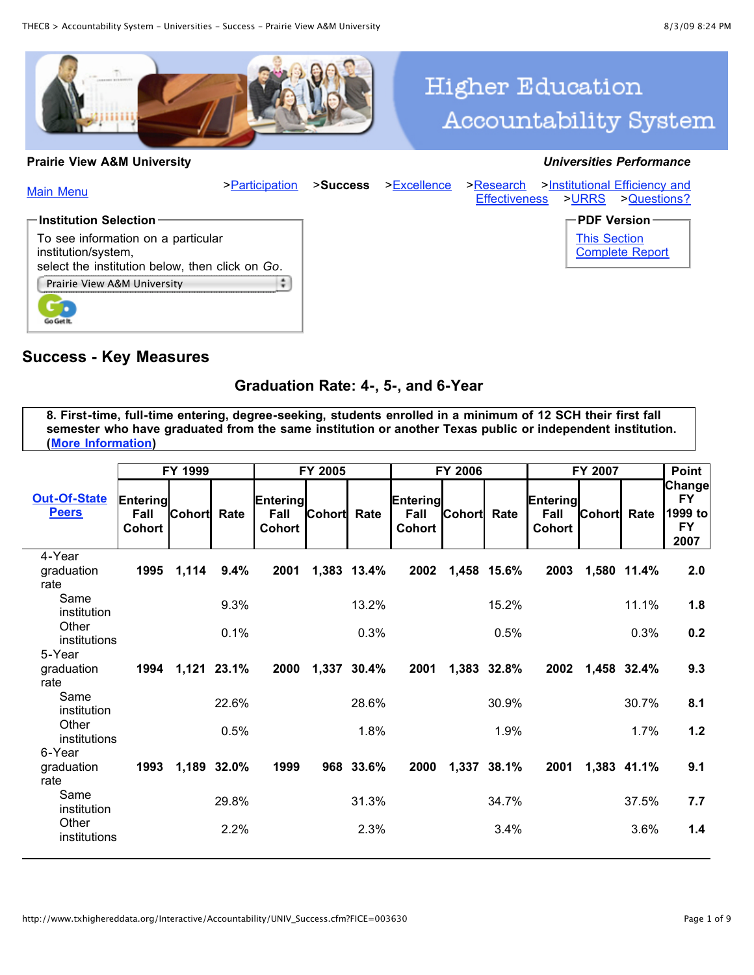

#### **Prairie View A&M University** *Universities Performance*

# **Higher Education Accountability System**



#### **Success - Key Measures**

#### **Graduation Rate: 4-, 5-, and 6-Year**

**8. First-time, full-time entering, degree-seeking, students enrolled in a minimum of 12 SCH their first fall semester who have graduated from the same institution or another Texas public or independent institution. ([More Information\)](http://www.txhighereddata.org/Interactive/GradRates.cfm)**

|                                     |                                   | FY 1999       |             |                            | FY 2005            |             |                                   | <b>FY 2006</b>     |             |                            | FY 2007            |             | <b>Point</b>                                        |
|-------------------------------------|-----------------------------------|---------------|-------------|----------------------------|--------------------|-------------|-----------------------------------|--------------------|-------------|----------------------------|--------------------|-------------|-----------------------------------------------------|
| <b>Out-Of-State</b><br><b>Peers</b> | Entering<br>Fall<br><b>Cohort</b> | <b>Cohort</b> | Rate        | Entering<br>Fall<br>Cohort | <b>Cohort</b> Rate |             | Entering<br>Fall<br><b>Cohort</b> | <b>Cohort</b> Rate |             | Entering<br>Fall<br>Cohort | <b>Cohort</b> Rate |             | Change<br><b>FY</b><br>1999 to<br><b>FY</b><br>2007 |
| 4-Year<br>graduation<br>rate        | 1995                              | 1,114         | 9.4%        | 2001                       |                    | 1,383 13.4% | 2002                              |                    | 1,458 15.6% | 2003                       | 1,580 11.4%        |             | 2.0                                                 |
| Same<br>institution                 |                                   |               | 9.3%        |                            |                    | 13.2%       |                                   |                    | 15.2%       |                            |                    | 11.1%       | 1.8                                                 |
| Other<br>institutions<br>5-Year     |                                   |               | 0.1%        |                            |                    | 0.3%        |                                   |                    | 0.5%        |                            |                    | 0.3%        | 0.2                                                 |
| graduation<br>rate                  | 1994                              | 1,121 23.1%   |             | 2000                       |                    | 1,337 30.4% | 2001                              |                    | 1,383 32.8% | 2002                       |                    | 1,458 32.4% | 9.3                                                 |
| Same<br>institution                 |                                   |               | 22.6%       |                            |                    | 28.6%       |                                   |                    | 30.9%       |                            |                    | 30.7%       | 8.1                                                 |
| Other<br>institutions<br>6-Year     |                                   |               | 0.5%        |                            |                    | 1.8%        |                                   |                    | 1.9%        |                            |                    | 1.7%        | 1.2                                                 |
| graduation<br>rate                  | 1993                              |               | 1,189 32.0% | 1999                       |                    | 968 33.6%   | 2000                              |                    | 1,337 38.1% | 2001                       |                    | 1,383 41.1% | 9.1                                                 |
| Same<br>institution                 |                                   |               | 29.8%       |                            |                    | 31.3%       |                                   |                    | 34.7%       |                            |                    | 37.5%       | 7.7                                                 |
| Other<br>institutions               |                                   |               | 2.2%        |                            |                    | 2.3%        |                                   |                    | 3.4%        |                            |                    | 3.6%        | 1.4                                                 |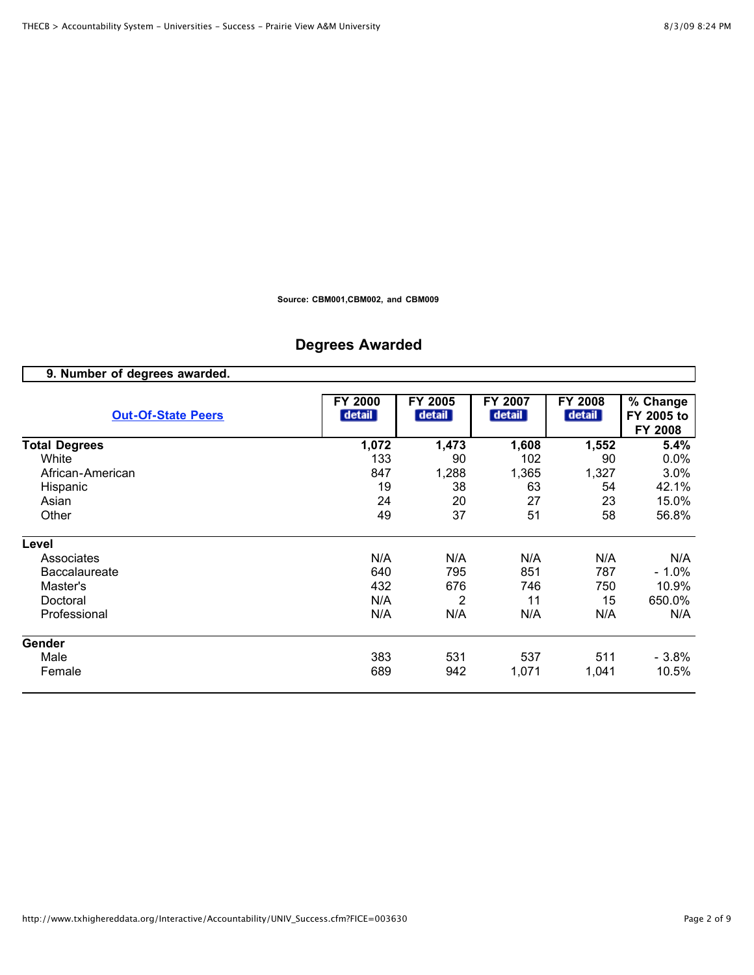**Source: CBM001,CBM002, and CBM009**

# **Degrees Awarded**

| 9. Number of degrees awarded. |                   |                   |                   |                   |                                   |
|-------------------------------|-------------------|-------------------|-------------------|-------------------|-----------------------------------|
| <b>Out-Of-State Peers</b>     | FY 2000<br>detail | FY 2005<br>detail | FY 2007<br>detail | FY 2008<br>detail | % Change<br>FY 2005 to<br>FY 2008 |
| <b>Total Degrees</b>          | 1,072             | 1,473             | 1,608             | 1,552             | 5.4%                              |
| White                         | 133               | 90                | 102               | 90                | 0.0%                              |
| African-American              | 847               | 1,288             | 1,365             | 1,327             | 3.0%                              |
| Hispanic                      | 19                | 38                | 63                | 54                | 42.1%                             |
| Asian                         | 24                | 20                | 27                | 23                | 15.0%                             |
| Other                         | 49                | 37                | 51                | 58                | 56.8%                             |
| Level                         |                   |                   |                   |                   |                                   |
| Associates                    | N/A               | N/A               | N/A               | N/A               | N/A                               |
| <b>Baccalaureate</b>          | 640               | 795               | 851               | 787               | - 1.0%                            |
| Master's                      | 432               | 676               | 746               | 750               | 10.9%                             |
| Doctoral                      | N/A               | 2                 | 11                | 15                | 650.0%                            |
| Professional                  | N/A               | N/A               | N/A               | N/A               | N/A                               |
| Gender                        |                   |                   |                   |                   |                                   |
| Male                          | 383               | 531               | 537               | 511               | $-3.8%$                           |
| Female                        | 689               | 942               | 1,071             | 1,041             | 10.5%                             |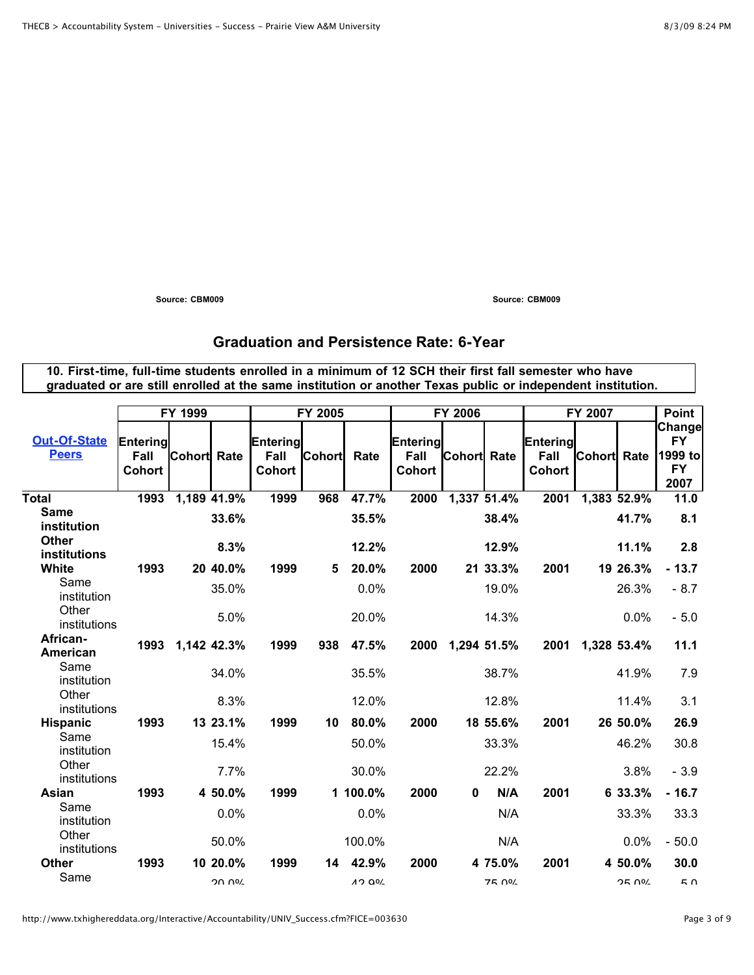**Source: CBM009 Source: CBM009**

# **Graduation and Persistence Rate: 6-Year**

**10. First-time, full-time students enrolled in a minimum of 12 SCH their first fall semester who have graduated or are still enrolled at the same institution or another Texas public or independent institution.**

|                              |                                   | FY 1999            |              |                                   | FY 2005       |                   |                            | <b>FY 2006</b>     |               |                                   | FY 2007            |               | Point                                               |
|------------------------------|-----------------------------------|--------------------|--------------|-----------------------------------|---------------|-------------------|----------------------------|--------------------|---------------|-----------------------------------|--------------------|---------------|-----------------------------------------------------|
| Out-Of-State<br><b>Peers</b> | Entering<br>Fall<br><b>Cohort</b> | <b>Cohort</b> Rate |              | Entering<br>Fall<br><b>Cohort</b> | <b>Cohort</b> | Rate              | Entering<br>Fall<br>Cohort | <b>Cohort</b> Rate |               | Entering<br>Fall<br><b>Cohort</b> | <b>Cohort</b> Rate |               | Change<br><b>FY</b><br>1999 to<br><b>FY</b><br>2007 |
| <b>Total</b>                 | 1993                              | 1,189 41.9%        |              | 1999                              | 968           | 47.7%             | 2000                       | 1,337 51.4%        |               | 2001                              | 1,383 52.9%        |               | 11.0                                                |
| <b>Same</b><br>institution   |                                   |                    | 33.6%        |                                   |               | 35.5%             |                            |                    | 38.4%         |                                   |                    | 41.7%         | 8.1                                                 |
| <b>Other</b><br>institutions |                                   |                    | 8.3%         |                                   |               | 12.2%             |                            |                    | 12.9%         |                                   |                    | 11.1%         | 2.8                                                 |
| <b>White</b>                 | 1993                              |                    | 20 40.0%     | 1999                              | 5             | 20.0%             | 2000                       |                    | 21 33.3%      | 2001                              |                    | 19 26.3%      | $-13.7$                                             |
| Same<br>institution          |                                   |                    | 35.0%        |                                   |               | 0.0%              |                            |                    | 19.0%         |                                   |                    | 26.3%         | $-8.7$                                              |
| Other<br>institutions        |                                   |                    | 5.0%         |                                   |               | 20.0%             |                            |                    | 14.3%         |                                   |                    | 0.0%          | $-5.0$                                              |
| African-<br>American         | 1993                              | 1,142 42.3%        |              | 1999                              | 938           | 47.5%             | 2000                       | 1,294 51.5%        |               | 2001                              |                    | 1,328 53.4%   | 11.1                                                |
| Same<br>institution          |                                   |                    | 34.0%        |                                   |               | 35.5%             |                            |                    | 38.7%         |                                   |                    | 41.9%         | 7.9                                                 |
| Other<br>institutions        |                                   |                    | 8.3%         |                                   |               | 12.0%             |                            |                    | 12.8%         |                                   |                    | 11.4%         | 3.1                                                 |
| <b>Hispanic</b>              | 1993                              |                    | 13 23.1%     | 1999                              | 10            | 80.0%             | 2000                       |                    | 18 55.6%      | 2001                              |                    | 26 50.0%      | 26.9                                                |
| Same<br>institution          |                                   |                    | 15.4%        |                                   |               | 50.0%             |                            |                    | 33.3%         |                                   |                    | 46.2%         | 30.8                                                |
| Other<br>institutions        |                                   |                    | 7.7%         |                                   |               | 30.0%             |                            |                    | 22.2%         |                                   |                    | 3.8%          | $-3.9$                                              |
| Asian                        | 1993                              |                    | 4 50.0%      | 1999                              |               | 1 100.0%          | 2000                       | 0                  | N/A           | 2001                              |                    | 6 33.3%       | $-16.7$                                             |
| Same<br>institution          |                                   |                    | 0.0%         |                                   |               | 0.0%              |                            |                    | N/A           |                                   |                    | 33.3%         | 33.3                                                |
| Other<br>institutions        |                                   |                    | 50.0%        |                                   |               | 100.0%            |                            |                    | N/A           |                                   |                    | 0.0%          | $-50.0$                                             |
| <b>Other</b>                 | 1993                              |                    | 10 20.0%     | 1999                              | 14            | 42.9%             | 2000                       |                    | 4 75.0%       | 2001                              |                    | 4 50.0%       | 30.0                                                |
| Same                         |                                   |                    | <b>20 UG</b> |                                   |               | 1200 <sub>2</sub> |                            |                    | <b>75 004</b> |                                   |                    | <b>OF UOT</b> | <b>π</b>                                            |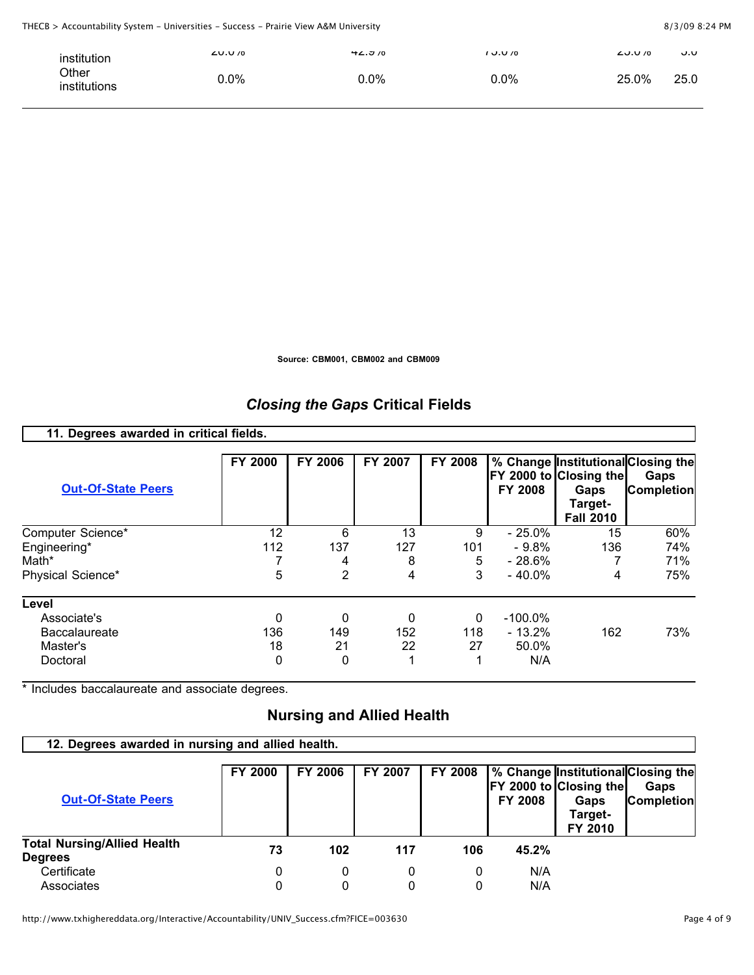| institution           | $L$ V.V $/0$ | <b>HL.J/U</b> | 70 ل.ل 1 | $L$ U.U /0<br>v.v |
|-----------------------|--------------|---------------|----------|-------------------|
| Other<br>institutions | 0.0%         | 0.0%          | $0.0\%$  | 25.0%<br>25.0     |

**Source: CBM001, CBM002 and CBM009**

# *Closing the Gaps* **Critical Fields**

| 11. Degrees awarded in critical fields. |                |         |         |                |                |                                                               |                                                                 |
|-----------------------------------------|----------------|---------|---------|----------------|----------------|---------------------------------------------------------------|-----------------------------------------------------------------|
| <b>Out-Of-State Peers</b>               | <b>FY 2000</b> | FY 2006 | FY 2007 | <b>FY 2008</b> | <b>FY 2008</b> | FY 2000 to Closing the<br>Gaps<br>Target-<br><b>Fall 2010</b> | % Change Institutional Closing the<br>Gaps<br><b>Completion</b> |
| Computer Science*                       | 12             | 6       | 13      | 9              | $-25.0%$       | 15                                                            | 60%                                                             |
| Engineering*                            | 112            | 137     | 127     | 101            | $-9.8\%$       | 136                                                           | 74%                                                             |
| Math*                                   |                | 4       | 8       | 5              | $-28.6%$       |                                                               | 71%                                                             |
| Physical Science*                       | 5              | 2       | 4       | 3              | $-40.0\%$      | 4                                                             | 75%                                                             |
| Level                                   |                |         |         |                |                |                                                               |                                                                 |
| Associate's                             | 0              | 0       | 0       | 0              | $-100.0\%$     |                                                               |                                                                 |
| <b>Baccalaureate</b>                    | 136            | 149     | 152     | 118            | $-13.2%$       | 162                                                           | 73%                                                             |
| Master's                                | 18             | 21      | 22      | 27             | 50.0%          |                                                               |                                                                 |
| Doctoral                                | 0              | 0       |         |                | N/A            |                                                               |                                                                 |

\* Includes baccalaureate and associate degrees.

# **Nursing and Allied Health**

#### **12. Degrees awarded in nursing and allied health.**

| <b>Out-Of-State Peers</b>          | <b>FY 2000</b> | <b>FY 2006</b> | FY 2007 | <b>FY 2008</b> | <b>FY 2008</b> | FY 2000 to Closing the<br>Gaps<br>Target-<br>FY 2010 | % Change Institutional Closing the<br>Gaps<br><b>Completion</b> |
|------------------------------------|----------------|----------------|---------|----------------|----------------|------------------------------------------------------|-----------------------------------------------------------------|
| <b>Total Nursing/Allied Health</b> | 73             | 102            | 117     | 106            | 45.2%          |                                                      |                                                                 |
| <b>Degrees</b>                     |                |                |         |                |                |                                                      |                                                                 |
| Certificate                        | 0              | 0              | 0       | 0              | N/A            |                                                      |                                                                 |
| Associates                         |                |                |         |                | N/A            |                                                      |                                                                 |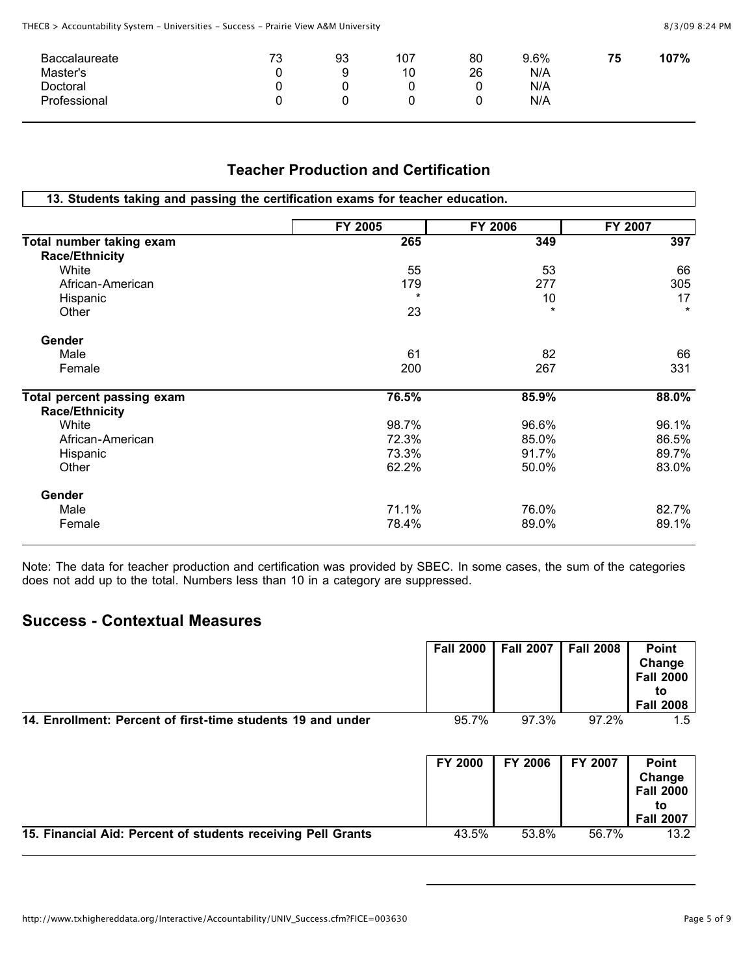| <b>Baccalaureate</b><br>Master's<br>Doctoral | 72<br>ು | 93<br>a | 107<br>10 | 80<br>26 | 9.6%<br>N/A<br>N/A | 75 | 107% |
|----------------------------------------------|---------|---------|-----------|----------|--------------------|----|------|
| Professional                                 |         |         |           |          | N/A                |    |      |

#### **Teacher Production and Certification**

|                            | FY 2005 | FY 2006 | FY 2007 |
|----------------------------|---------|---------|---------|
| Total number taking exam   | 265     | 349     | 397     |
| <b>Race/Ethnicity</b>      |         |         |         |
| White                      | 55      | 53      | 66      |
| African-American           | 179     | 277     | 305     |
| Hispanic                   |         | 10      | 17      |
| Other                      | 23      | $\star$ | $\star$ |
| Gender                     |         |         |         |
| Male                       | 61      | 82      | 66      |
| Female                     | 200     | 267     | 331     |
| Total percent passing exam | 76.5%   | 85.9%   | 88.0%   |
| <b>Race/Ethnicity</b>      |         |         |         |
| White                      | 98.7%   | 96.6%   | 96.1%   |
| African-American           | 72.3%   | 85.0%   | 86.5%   |
| Hispanic                   | 73.3%   | 91.7%   | 89.7%   |
| Other                      | 62.2%   | 50.0%   | 83.0%   |
| Gender                     |         |         |         |
| Male                       | 71.1%   | 76.0%   | 82.7%   |
| Female                     | 78.4%   | 89.0%   | 89.1%   |

Note: The data for teacher production and certification was provided by SBEC. In some cases, the sum of the categories does not add up to the total. Numbers less than 10 in a category are suppressed.

#### **Success - Contextual Measures**

|                                                              | <b>Fall 2000</b> | <b>Fall 2007</b> | <b>Fall 2008</b> | <b>Point</b><br>Change<br><b>Fall 2000</b><br>to<br><b>Fall 2008</b> |
|--------------------------------------------------------------|------------------|------------------|------------------|----------------------------------------------------------------------|
| 14. Enrollment: Percent of first-time students 19 and under  | 95.7%            | 97.3%            | 97.2%            | 1.5                                                                  |
|                                                              | <b>FY 2000</b>   | FY 2006          | FY 2007          | Point<br>Change<br><b>Fall 2000</b><br>to<br><b>Fall 2007</b>        |
| 15. Financial Aid: Percent of students receiving Pell Grants | 43.5%            | 53.8%            | 56.7%            | 13.2                                                                 |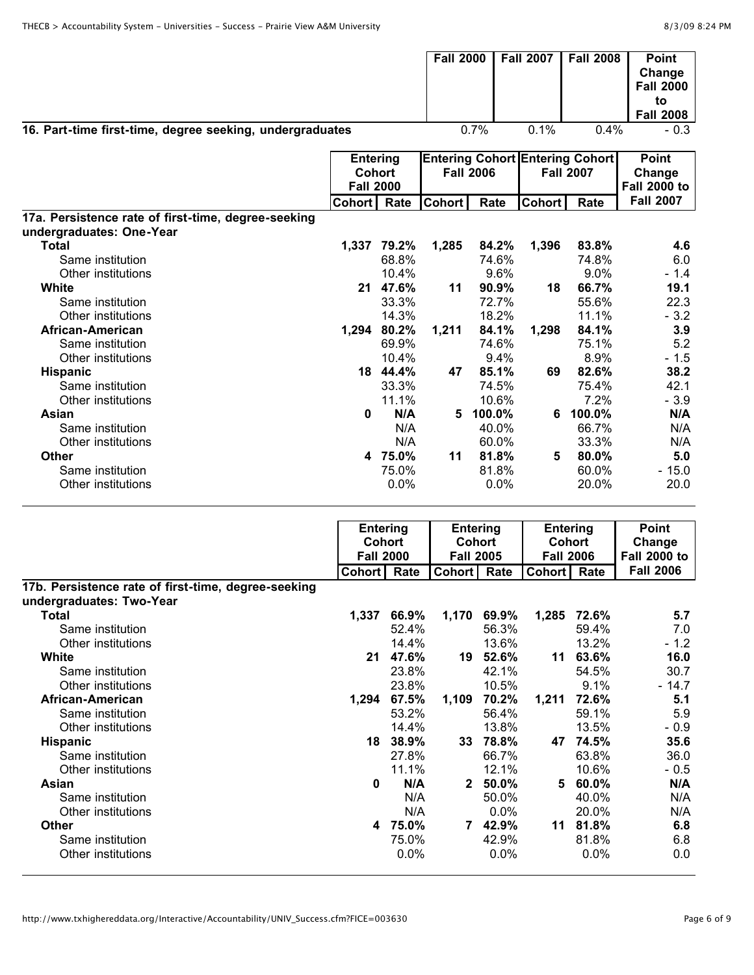| 16. Part-time first-time, degree seeking, undergraduates                        |                                                      |                                   | <b>Fall 2000</b> | 0.7%                              | <b>Fall 2007</b><br>0.1% | <b>Fall 2008</b><br>0.4%                                   | <b>Point</b><br>Change<br><b>Fall 2000</b><br>to<br><b>Fall 2008</b><br>$-0.3$ |
|---------------------------------------------------------------------------------|------------------------------------------------------|-----------------------------------|------------------|-----------------------------------|--------------------------|------------------------------------------------------------|--------------------------------------------------------------------------------|
|                                                                                 | <b>Entering</b><br><b>Cohort</b><br><b>Fall 2000</b> |                                   |                  | <b>Fall 2006</b>                  |                          | <b>Entering Cohort Entering Cohort</b><br><b>Fall 2007</b> | <b>Point</b><br>Change<br><b>Fall 2000 to</b>                                  |
|                                                                                 | <b>Cohort</b>                                        | Rate                              | <b>Cohort</b>    | Rate                              | <b>Cohort</b>            | Rate                                                       | <b>Fall 2007</b>                                                               |
| 17a. Persistence rate of first-time, degree-seeking                             |                                                      |                                   |                  |                                   |                          |                                                            |                                                                                |
| undergraduates: One-Year                                                        |                                                      |                                   |                  |                                   |                          |                                                            |                                                                                |
| <b>Total</b>                                                                    |                                                      | 1,337 79.2%                       | 1,285            | 84.2%                             | 1,396                    | 83.8%                                                      | 4.6                                                                            |
| Same institution                                                                |                                                      | 68.8%                             |                  | 74.6%                             |                          | 74.8%                                                      | 6.0                                                                            |
| Other institutions                                                              |                                                      | 10.4%                             |                  | 9.6%                              |                          | 9.0%                                                       | - 1.4                                                                          |
| White                                                                           |                                                      | 21 47.6%                          | 11               | 90.9%                             | 18                       | 66.7%                                                      | 19.1                                                                           |
| Same institution                                                                |                                                      | 33.3%                             |                  | 72.7%                             |                          | 55.6%                                                      | 22.3                                                                           |
| Other institutions                                                              |                                                      | 14.3%                             |                  | 18.2%                             |                          | 11.1%                                                      | $-3.2$                                                                         |
| African-American                                                                |                                                      | 1,294 80.2%                       | 1,211            | 84.1%                             | 1,298                    | 84.1%                                                      | 3.9                                                                            |
| Same institution                                                                |                                                      | 69.9%                             |                  | 74.6%                             |                          | 75.1%                                                      | 5.2                                                                            |
| Other institutions                                                              |                                                      | 10.4%                             |                  | 9.4%                              |                          | 8.9%                                                       | $-1.5$                                                                         |
| Hispanic                                                                        |                                                      | 18 44.4%                          | 47               | 85.1%                             | 69                       | 82.6%                                                      | 38.2                                                                           |
| Same institution                                                                |                                                      | 33.3%                             |                  | 74.5%                             |                          | 75.4%                                                      | 42.1                                                                           |
| Other institutions                                                              |                                                      | 11.1%                             |                  | 10.6%                             |                          | 7.2%                                                       | $-3.9$                                                                         |
| Asian                                                                           | 0                                                    | N/A                               |                  | 5 100.0%                          |                          | 6 100.0%                                                   | N/A                                                                            |
| Same institution                                                                |                                                      | N/A                               |                  | 40.0%                             |                          | 66.7%                                                      | N/A                                                                            |
| Other institutions                                                              |                                                      | N/A                               |                  | 60.0%                             |                          | 33.3%                                                      | N/A                                                                            |
| <b>Other</b>                                                                    |                                                      | 4 75.0%                           | 11               | 81.8%                             | 5                        | 80.0%                                                      | 5.0                                                                            |
| Same institution                                                                |                                                      | 75.0%                             |                  | 81.8%                             |                          | 60.0%                                                      | $-15.0$                                                                        |
| Other institutions                                                              |                                                      | 0.0%                              |                  | 0.0%                              |                          | 20.0%                                                      | 20.0                                                                           |
|                                                                                 |                                                      | <b>Entering</b>                   |                  | <b>Entering</b>                   |                          | <b>Entering</b>                                            | <b>Point</b>                                                                   |
|                                                                                 |                                                      | <b>Cohort</b><br><b>Fall 2000</b> |                  | <b>Cohort</b><br><b>Fall 2005</b> |                          | <b>Cohort</b><br><b>Fall 2006</b>                          | Change<br><b>Fall 2000 to</b>                                                  |
|                                                                                 | <b>Cohort</b>                                        | Rate                              | <b>Cohort</b>    | Rate                              | <b>Cohort</b>            | Rate                                                       | <b>Fall 2006</b>                                                               |
| 17b. Persistence rate of first-time, degree-seeking<br>undergraduates: Two-Year |                                                      |                                   |                  |                                   |                          |                                                            |                                                                                |
| Total                                                                           | 1,337                                                | 66.9%                             |                  | 1,170 69.9%                       |                          | 1,285 72.6%                                                | 5.7                                                                            |
| Same institution                                                                |                                                      | 52.4%                             |                  | 56.3%                             |                          | 59.4%                                                      | 7.0                                                                            |
| Other institutions                                                              |                                                      | 14.4%                             |                  | 13.6%                             |                          | 13.2%                                                      | $-1.2$                                                                         |
| White                                                                           |                                                      | 21 47.6%                          |                  | 19 52.6%                          |                          | 11 63.6%                                                   | 16.0                                                                           |
| Same institution                                                                |                                                      | 23.8%                             |                  | 42.1%                             |                          | 54.5%                                                      | 30.7                                                                           |
| Other institutions                                                              |                                                      | 23.8%                             |                  | 10.5%                             |                          | 9.1%                                                       | $-14.7$                                                                        |
| African-American                                                                |                                                      | 1,294 67.5%                       |                  | 1,109 70.2%                       |                          | 1,211 72.6%                                                | 5.1                                                                            |
| Same institution                                                                |                                                      | 53.2%                             |                  | 56.4%                             |                          | 59.1%                                                      | 5.9                                                                            |
| Other institutions                                                              |                                                      | 14.4%                             |                  | 13.8%                             |                          | 13.5%                                                      | $-0.9$                                                                         |
| <b>Hispanic</b>                                                                 |                                                      | 18 38.9%                          |                  | 33 78.8%                          |                          | 47 74.5%                                                   | 35.6                                                                           |
| Same institution                                                                |                                                      | 27.8%                             |                  | 66.7%                             |                          | 63.8%                                                      | 36.0                                                                           |
| Other institutions                                                              |                                                      | 11.1%                             |                  | 12.1%                             |                          | 10.6%                                                      | $-0.5$                                                                         |
| Asian                                                                           |                                                      | N/A<br>0                          |                  | 2 50.0%                           |                          | 5 60.0%                                                    | N/A                                                                            |
| Same institution                                                                |                                                      | N/A                               |                  | 50.0%                             |                          | 40.0%                                                      | N/A                                                                            |
| Other institutions                                                              |                                                      | N/A                               |                  | 0.0%                              |                          | 20.0%                                                      | N/A                                                                            |
| <b>Other</b>                                                                    |                                                      | 4 75.0%                           |                  | 7 42.9%                           |                          | 11 81.8%                                                   | 6.8                                                                            |
| Same institution                                                                |                                                      | 75.0%                             |                  | 42.9%                             |                          | 81.8%                                                      | 6.8                                                                            |
| Other institutions                                                              |                                                      | 0.0%                              |                  | 0.0%                              |                          | 0.0%                                                       | 0.0                                                                            |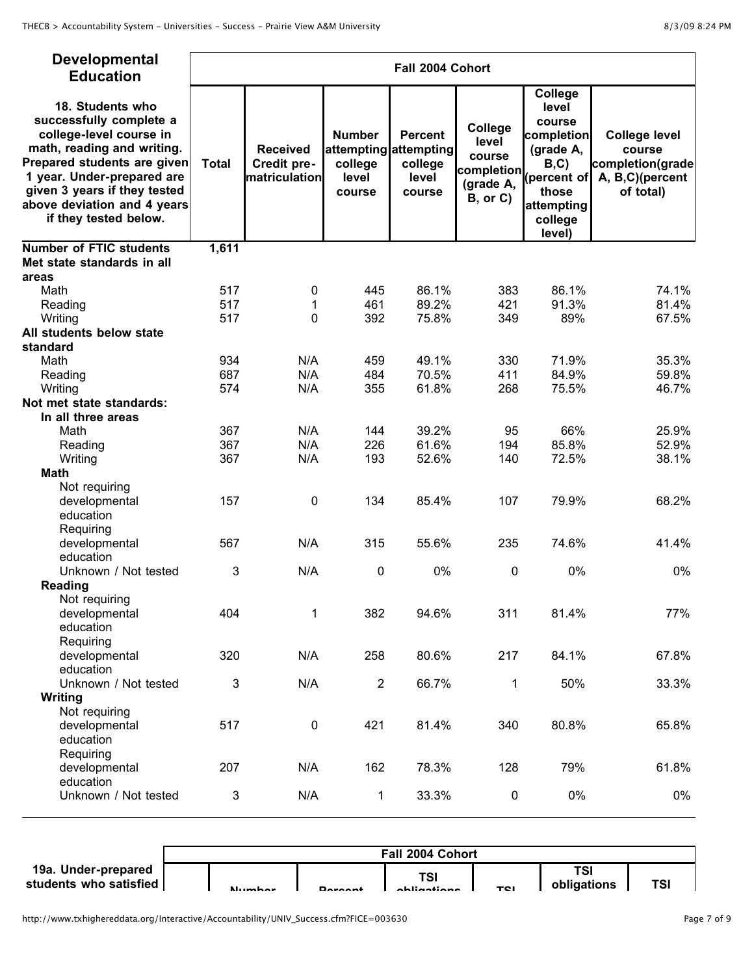| Developmental<br><b>Education</b>                                                                                                                                                                                                                         |              |                                                 |                                             | Fall 2004 Cohort                                                      |                                             |                                                                                                   |                                                                                    |
|-----------------------------------------------------------------------------------------------------------------------------------------------------------------------------------------------------------------------------------------------------------|--------------|-------------------------------------------------|---------------------------------------------|-----------------------------------------------------------------------|---------------------------------------------|---------------------------------------------------------------------------------------------------|------------------------------------------------------------------------------------|
| 18. Students who<br>successfully complete a<br>college-level course in<br>math, reading and writing.<br>Prepared students are given<br>1 year. Under-prepared are<br>given 3 years if they tested<br>above deviation and 4 years<br>if they tested below. | <b>Total</b> | <b>Received</b><br>Credit pre-<br>matriculation | <b>Number</b><br>college<br>level<br>course | <b>Percent</b><br>attempting attempting<br>college<br>level<br>course | College<br>level<br>course<br>$B,$ or $C$ ) | College<br>level<br>course<br>completion<br>(grade A,<br>those<br>attempting<br>college<br>level) | <b>College level</b><br>course<br>completion(grade<br>A, B,C)(percent<br>of total) |
| <b>Number of FTIC students</b>                                                                                                                                                                                                                            | 1,611        |                                                 |                                             |                                                                       |                                             |                                                                                                   |                                                                                    |
| Met state standards in all                                                                                                                                                                                                                                |              |                                                 |                                             |                                                                       |                                             |                                                                                                   |                                                                                    |
| areas                                                                                                                                                                                                                                                     |              |                                                 |                                             |                                                                       |                                             |                                                                                                   |                                                                                    |
| Math                                                                                                                                                                                                                                                      | 517          | 0                                               | 445                                         | 86.1%                                                                 | 383                                         | 86.1%                                                                                             | 74.1%                                                                              |
| Reading                                                                                                                                                                                                                                                   | 517          | 1                                               | 461                                         | 89.2%                                                                 | 421                                         | 91.3%                                                                                             | 81.4%                                                                              |
| Writing                                                                                                                                                                                                                                                   | 517          | 0                                               | 392                                         | 75.8%                                                                 | 349                                         | 89%                                                                                               | 67.5%                                                                              |
| All students below state                                                                                                                                                                                                                                  |              |                                                 |                                             |                                                                       |                                             |                                                                                                   |                                                                                    |
| standard                                                                                                                                                                                                                                                  | 934          | N/A                                             |                                             | 49.1%                                                                 | 330                                         | 71.9%                                                                                             | 35.3%                                                                              |
| Math                                                                                                                                                                                                                                                      | 687          | N/A                                             | 459<br>484                                  | 70.5%                                                                 | 411                                         | 84.9%                                                                                             | 59.8%                                                                              |
| Reading<br>Writing                                                                                                                                                                                                                                        | 574          | N/A                                             | 355                                         | 61.8%                                                                 | 268                                         | 75.5%                                                                                             | 46.7%                                                                              |
| Not met state standards:                                                                                                                                                                                                                                  |              |                                                 |                                             |                                                                       |                                             |                                                                                                   |                                                                                    |
| In all three areas                                                                                                                                                                                                                                        |              |                                                 |                                             |                                                                       |                                             |                                                                                                   |                                                                                    |
| Math                                                                                                                                                                                                                                                      | 367          | N/A                                             | 144                                         | 39.2%                                                                 | 95                                          | 66%                                                                                               | 25.9%                                                                              |
| Reading                                                                                                                                                                                                                                                   | 367          | N/A                                             | 226                                         | 61.6%                                                                 | 194                                         | 85.8%                                                                                             | 52.9%                                                                              |
| Writing                                                                                                                                                                                                                                                   | 367          | N/A                                             | 193                                         | 52.6%                                                                 | 140                                         | 72.5%                                                                                             | 38.1%                                                                              |
| <b>Math</b>                                                                                                                                                                                                                                               |              |                                                 |                                             |                                                                       |                                             |                                                                                                   |                                                                                    |
| Not requiring                                                                                                                                                                                                                                             |              |                                                 |                                             |                                                                       |                                             |                                                                                                   |                                                                                    |
| developmental                                                                                                                                                                                                                                             | 157          | 0                                               | 134                                         | 85.4%                                                                 | 107                                         | 79.9%                                                                                             | 68.2%                                                                              |
| education                                                                                                                                                                                                                                                 |              |                                                 |                                             |                                                                       |                                             |                                                                                                   |                                                                                    |
| Requiring                                                                                                                                                                                                                                                 |              |                                                 |                                             |                                                                       |                                             |                                                                                                   |                                                                                    |
| developmental                                                                                                                                                                                                                                             | 567          | N/A                                             | 315                                         | 55.6%                                                                 | 235                                         | 74.6%                                                                                             | 41.4%                                                                              |
| education                                                                                                                                                                                                                                                 |              |                                                 |                                             |                                                                       |                                             |                                                                                                   |                                                                                    |
| Unknown / Not tested                                                                                                                                                                                                                                      | $\mathbf{3}$ | N/A                                             | 0                                           | 0%                                                                    | 0                                           | 0%                                                                                                | 0%                                                                                 |
| Reading                                                                                                                                                                                                                                                   |              |                                                 |                                             |                                                                       |                                             |                                                                                                   |                                                                                    |
| Not requiring                                                                                                                                                                                                                                             |              |                                                 |                                             |                                                                       |                                             |                                                                                                   |                                                                                    |
| developmental                                                                                                                                                                                                                                             | 404          | $\mathbf{1}$                                    | 382                                         | 94.6%                                                                 | 311                                         | 81.4%                                                                                             | 77%                                                                                |
| education                                                                                                                                                                                                                                                 |              |                                                 |                                             |                                                                       |                                             |                                                                                                   |                                                                                    |
| Requiring                                                                                                                                                                                                                                                 |              |                                                 |                                             |                                                                       |                                             |                                                                                                   |                                                                                    |
| developmental                                                                                                                                                                                                                                             | 320          | N/A                                             | 258                                         | 80.6%                                                                 | 217                                         | 84.1%                                                                                             | 67.8%                                                                              |
| education                                                                                                                                                                                                                                                 |              |                                                 |                                             |                                                                       |                                             |                                                                                                   |                                                                                    |
| Unknown / Not tested                                                                                                                                                                                                                                      | 3            | N/A                                             | $\overline{2}$                              | 66.7%                                                                 | 1                                           | 50%                                                                                               | 33.3%                                                                              |
| Writing                                                                                                                                                                                                                                                   |              |                                                 |                                             |                                                                       |                                             |                                                                                                   |                                                                                    |
| Not requiring                                                                                                                                                                                                                                             |              |                                                 |                                             |                                                                       |                                             |                                                                                                   |                                                                                    |
| developmental                                                                                                                                                                                                                                             | 517          | $\pmb{0}$                                       | 421                                         | 81.4%                                                                 | 340                                         | 80.8%                                                                                             | 65.8%                                                                              |
| education                                                                                                                                                                                                                                                 |              |                                                 |                                             |                                                                       |                                             |                                                                                                   |                                                                                    |
| Requiring                                                                                                                                                                                                                                                 |              |                                                 |                                             |                                                                       |                                             |                                                                                                   |                                                                                    |
| developmental                                                                                                                                                                                                                                             | 207          | N/A                                             | 162                                         | 78.3%                                                                 | 128                                         | 79%                                                                                               | 61.8%                                                                              |
| education<br>Unknown / Not tested                                                                                                                                                                                                                         | $\mathbf{3}$ | N/A                                             | 1                                           | 33.3%                                                                 | 0                                           | 0%                                                                                                | 0%                                                                                 |
|                                                                                                                                                                                                                                                           |              |                                                 |                                             |                                                                       |                                             |                                                                                                   |                                                                                    |

|                                               |               |                | Fall 2004 Cohort   |            |                    |     |
|-----------------------------------------------|---------------|----------------|--------------------|------------|--------------------|-----|
| 19a. Under-prepared<br>students who satisfied | <b>Number</b> | <b>Dovoont</b> | TSI<br>ahliqatiana | <b>TCI</b> | TSI<br>obligations | TSI |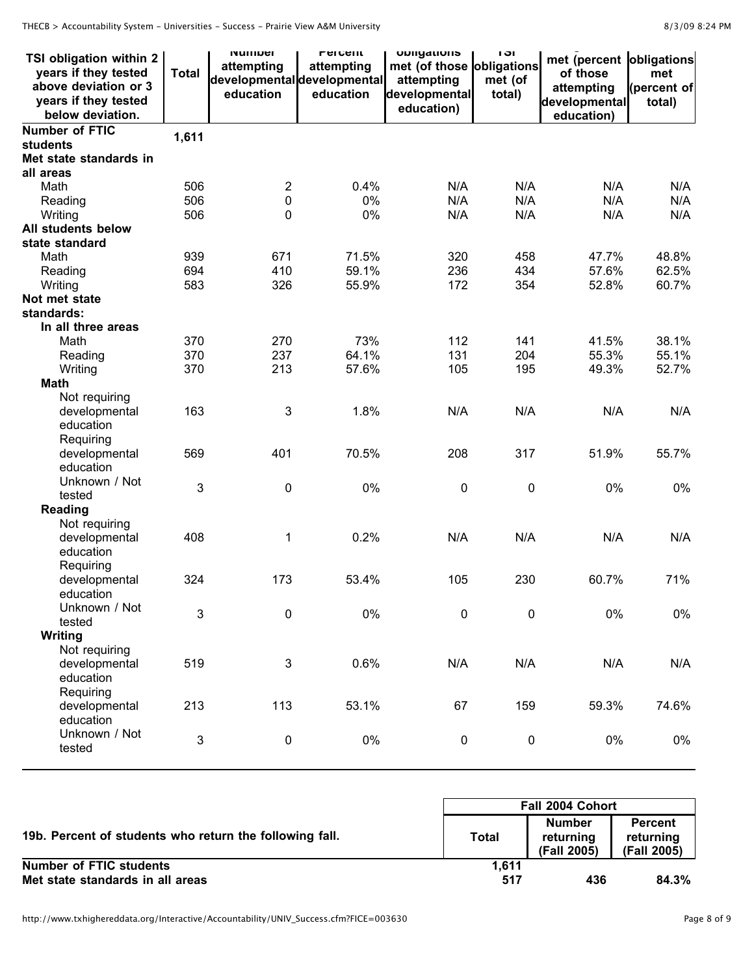THECB > Accountability System - Universities - Success - Prairie View A&M University

|  | 8/3/09 8:24 PM |  |
|--|----------------|--|
|  |                |  |

| TSI obligation within 2<br>years if they tested<br>above deviation or 3<br>years if they tested<br>below deviation. | <b>Total</b> | <b>NUTTIVEL</b><br>attempting<br>developmental developmental<br>education | <b>FULL</b><br>attempting<br>education | <b>UNIIYALIUIIS</b><br>met (of those obligations<br>attempting<br>developmental<br>education) | וט ו<br>met (of<br>total) | met (percent obligations<br>of those<br>attempting<br>developmental<br>education) | met<br>(percent of<br>total) |
|---------------------------------------------------------------------------------------------------------------------|--------------|---------------------------------------------------------------------------|----------------------------------------|-----------------------------------------------------------------------------------------------|---------------------------|-----------------------------------------------------------------------------------|------------------------------|
| <b>Number of FTIC</b>                                                                                               | 1,611        |                                                                           |                                        |                                                                                               |                           |                                                                                   |                              |
| students                                                                                                            |              |                                                                           |                                        |                                                                                               |                           |                                                                                   |                              |
| Met state standards in                                                                                              |              |                                                                           |                                        |                                                                                               |                           |                                                                                   |                              |
| all areas                                                                                                           |              |                                                                           |                                        |                                                                                               |                           |                                                                                   |                              |
| Math                                                                                                                | 506          | $\overline{2}$                                                            | 0.4%                                   | N/A                                                                                           | N/A                       | N/A                                                                               | N/A                          |
| Reading                                                                                                             | 506          | 0                                                                         | 0%                                     | N/A                                                                                           | N/A                       | N/A                                                                               | N/A                          |
| Writing                                                                                                             | 506          | 0                                                                         | 0%                                     | N/A                                                                                           | N/A                       | N/A                                                                               | N/A                          |
| All students below                                                                                                  |              |                                                                           |                                        |                                                                                               |                           |                                                                                   |                              |
| state standard                                                                                                      |              |                                                                           |                                        |                                                                                               |                           |                                                                                   |                              |
| Math                                                                                                                | 939          | 671                                                                       | 71.5%                                  | 320                                                                                           | 458                       | 47.7%                                                                             | 48.8%                        |
| Reading                                                                                                             | 694          | 410                                                                       | 59.1%                                  | 236                                                                                           | 434                       | 57.6%                                                                             | 62.5%                        |
| Writing                                                                                                             | 583          | 326                                                                       | 55.9%                                  | 172                                                                                           | 354                       | 52.8%                                                                             | 60.7%                        |
| Not met state                                                                                                       |              |                                                                           |                                        |                                                                                               |                           |                                                                                   |                              |
| standards:                                                                                                          |              |                                                                           |                                        |                                                                                               |                           |                                                                                   |                              |
| In all three areas                                                                                                  |              |                                                                           |                                        |                                                                                               |                           |                                                                                   |                              |
| Math                                                                                                                | 370          | 270                                                                       | 73%                                    | 112                                                                                           | 141                       | 41.5%                                                                             | 38.1%                        |
| Reading                                                                                                             | 370          | 237                                                                       | 64.1%                                  | 131                                                                                           | 204                       | 55.3%                                                                             | 55.1%                        |
| Writing                                                                                                             | 370          | 213                                                                       | 57.6%                                  | 105                                                                                           | 195                       | 49.3%                                                                             | 52.7%                        |
| <b>Math</b>                                                                                                         |              |                                                                           |                                        |                                                                                               |                           |                                                                                   |                              |
| Not requiring<br>developmental                                                                                      | 163          | 3                                                                         | 1.8%                                   | N/A                                                                                           | N/A                       | N/A                                                                               | N/A                          |
| education                                                                                                           |              |                                                                           |                                        |                                                                                               |                           |                                                                                   |                              |
| Requiring                                                                                                           |              |                                                                           |                                        |                                                                                               |                           |                                                                                   |                              |
| developmental                                                                                                       | 569          | 401                                                                       | 70.5%                                  | 208                                                                                           | 317                       | 51.9%                                                                             | 55.7%                        |
| education                                                                                                           |              |                                                                           |                                        |                                                                                               |                           |                                                                                   |                              |
| Unknown / Not                                                                                                       |              |                                                                           |                                        |                                                                                               |                           |                                                                                   |                              |
| tested                                                                                                              | 3            | $\pmb{0}$                                                                 | 0%                                     | 0                                                                                             | 0                         | 0%                                                                                | 0%                           |
| Reading                                                                                                             |              |                                                                           |                                        |                                                                                               |                           |                                                                                   |                              |
| Not requiring                                                                                                       |              |                                                                           |                                        |                                                                                               |                           |                                                                                   |                              |
| developmental                                                                                                       | 408          | 1                                                                         | 0.2%                                   | N/A                                                                                           | N/A                       | N/A                                                                               | N/A                          |
| education                                                                                                           |              |                                                                           |                                        |                                                                                               |                           |                                                                                   |                              |
| Requiring                                                                                                           |              |                                                                           |                                        |                                                                                               |                           |                                                                                   |                              |
| developmental                                                                                                       | 324          | 173                                                                       | 53.4%                                  | 105                                                                                           | 230                       | 60.7%                                                                             | 71%                          |
| education                                                                                                           |              |                                                                           |                                        |                                                                                               |                           |                                                                                   |                              |
| Unknown / Not                                                                                                       | 3            | 0                                                                         | 0%                                     | 0                                                                                             | 0                         | 0%                                                                                | $0\%$                        |
| tested                                                                                                              |              |                                                                           |                                        |                                                                                               |                           |                                                                                   |                              |
| Writing                                                                                                             |              |                                                                           |                                        |                                                                                               |                           |                                                                                   |                              |
| Not requiring                                                                                                       |              |                                                                           |                                        |                                                                                               |                           |                                                                                   |                              |
| developmental                                                                                                       | 519          | 3                                                                         | 0.6%                                   | N/A                                                                                           | N/A                       | N/A                                                                               | N/A                          |
| education                                                                                                           |              |                                                                           |                                        |                                                                                               |                           |                                                                                   |                              |
| Requiring                                                                                                           |              |                                                                           |                                        |                                                                                               |                           |                                                                                   |                              |
| developmental                                                                                                       | 213          | 113                                                                       | 53.1%                                  | 67                                                                                            | 159                       | 59.3%                                                                             | 74.6%                        |
| education                                                                                                           |              |                                                                           |                                        |                                                                                               |                           |                                                                                   |                              |
| Unknown / Not<br>tested                                                                                             | 3            | $\pmb{0}$                                                                 | 0%                                     | $\pmb{0}$                                                                                     | 0                         | $0\%$                                                                             | 0%                           |
|                                                                                                                     |              |                                                                           |                                        |                                                                                               |                           |                                                                                   |                              |

|                                                         | <b>Fall 2004 Cohort</b> |                                           |                                            |  |  |  |  |  |
|---------------------------------------------------------|-------------------------|-------------------------------------------|--------------------------------------------|--|--|--|--|--|
| 19b. Percent of students who return the following fall. | Total                   | <b>Number</b><br>returning<br>(Fall 2005) | <b>Percent</b><br>returning<br>(Fall 2005) |  |  |  |  |  |
| <b>Number of FTIC students</b>                          | 1,611                   |                                           |                                            |  |  |  |  |  |
| Met state standards in all areas                        | 517                     | 436                                       | 84.3%                                      |  |  |  |  |  |